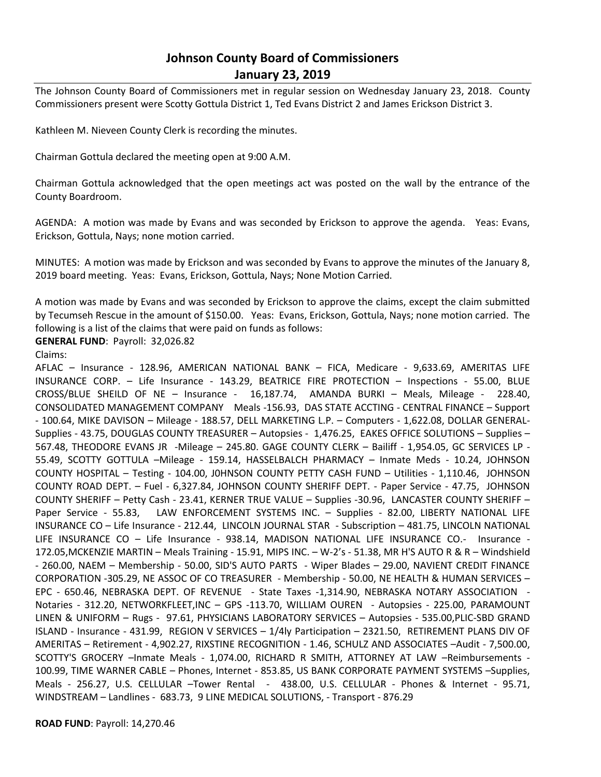## **Johnson County Board of Commissioners January 23, 2019**

The Johnson County Board of Commissioners met in regular session on Wednesday January 23, 2018. County Commissioners present were Scotty Gottula District 1, Ted Evans District 2 and James Erickson District 3.

Kathleen M. Nieveen County Clerk is recording the minutes.

Chairman Gottula declared the meeting open at 9:00 A.M.

Chairman Gottula acknowledged that the open meetings act was posted on the wall by the entrance of the County Boardroom.

AGENDA: A motion was made by Evans and was seconded by Erickson to approve the agenda. Yeas: Evans, Erickson, Gottula, Nays; none motion carried.

MINUTES: A motion was made by Erickson and was seconded by Evans to approve the minutes of the January 8, 2019 board meeting. Yeas: Evans, Erickson, Gottula, Nays; None Motion Carried.

A motion was made by Evans and was seconded by Erickson to approve the claims, except the claim submitted by Tecumseh Rescue in the amount of \$150.00. Yeas: Evans, Erickson, Gottula, Nays; none motion carried. The following is a list of the claims that were paid on funds as follows:

**GENERAL FUND**: Payroll: 32,026.82

Claims:

AFLAC – Insurance - 128.96, AMERICAN NATIONAL BANK – FICA, Medicare - 9,633.69, AMERITAS LIFE INSURANCE CORP. – Life Insurance - 143.29, BEATRICE FIRE PROTECTION – Inspections - 55.00, BLUE CROSS/BLUE SHEILD OF NE – Insurance - 16,187.74, AMANDA BURKI – Meals, Mileage - 228.40, CONSOLIDATED MANAGEMENT COMPANY Meals -156.93, DAS STATE ACCTING - CENTRAL FINANCE – Support - 100.64, MIKE DAVISON – Mileage - 188.57, DELL MARKETING L.P. – Computers - 1,622.08, DOLLAR GENERAL-Supplies - 43.75, DOUGLAS COUNTY TREASURER – Autopsies - 1,476.25, EAKES OFFICE SOLUTIONS – Supplies – 567.48, THEODORE EVANS JR -Mileage – 245.80. GAGE COUNTY CLERK – Bailiff - 1,954.05, GC SERVICES LP - 55.49, SCOTTY GOTTULA –Mileage - 159.14, HASSELBALCH PHARMACY – Inmate Meds - 10.24, JOHNSON COUNTY HOSPITAL – Testing - 104.00, J0HNSON COUNTY PETTY CASH FUND – Utilities - 1,110.46, JOHNSON COUNTY ROAD DEPT. – Fuel - 6,327.84, JOHNSON COUNTY SHERIFF DEPT. - Paper Service - 47.75, JOHNSON COUNTY SHERIFF – Petty Cash - 23.41, KERNER TRUE VALUE – Supplies -30.96, LANCASTER COUNTY SHERIFF – Paper Service - 55.83, LAW ENFORCEMENT SYSTEMS INC. - Supplies - 82.00, LIBERTY NATIONAL LIFE INSURANCE CO – Life Insurance - 212.44, LINCOLN JOURNAL STAR - Subscription – 481.75, LINCOLN NATIONAL LIFE INSURANCE CO – Life Insurance - 938.14, MADISON NATIONAL LIFE INSURANCE CO.- Insurance - 172.05,MCKENZIE MARTIN – Meals Training - 15.91, MIPS INC. – W-2's - 51.38, MR H'S AUTO R & R – Windshield - 260.00, NAEM – Membership - 50.00, SID'S AUTO PARTS - Wiper Blades – 29.00, NAVIENT CREDIT FINANCE CORPORATION -305.29, NE ASSOC OF CO TREASURER - Membership - 50.00, NE HEALTH & HUMAN SERVICES – EPC - 650.46, NEBRASKA DEPT. OF REVENUE - State Taxes -1,314.90, NEBRASKA NOTARY ASSOCIATION - Notaries - 312.20, NETWORKFLEET,INC – GPS -113.70, WILLIAM OUREN - Autopsies - 225.00, PARAMOUNT LINEN & UNIFORM – Rugs - 97.61, PHYSICIANS LABORATORY SERVICES – Autopsies - 535.00,PLIC-SBD GRAND ISLAND - Insurance - 431.99, REGION V SERVICES – 1/4ly Participation – 2321.50, RETIREMENT PLANS DIV OF AMERITAS – Retirement - 4,902.27, RIXSTINE RECOGNITION - 1.46, SCHULZ AND ASSOCIATES –Audit - 7,500.00, SCOTTY'S GROCERY –Inmate Meals - 1,074.00, RICHARD R SMITH, ATTORNEY AT LAW –Reimbursements - 100.99, TIME WARNER CABLE – Phones, Internet - 853.85, US BANK CORPORATE PAYMENT SYSTEMS –Supplies, Meals - 256.27, U.S. CELLULAR -Tower Rental - 438.00, U.S. CELLULAR - Phones & Internet - 95.71, WINDSTREAM – Landlines - 683.73, 9 LINE MEDICAL SOLUTIONS, - Transport - 876.29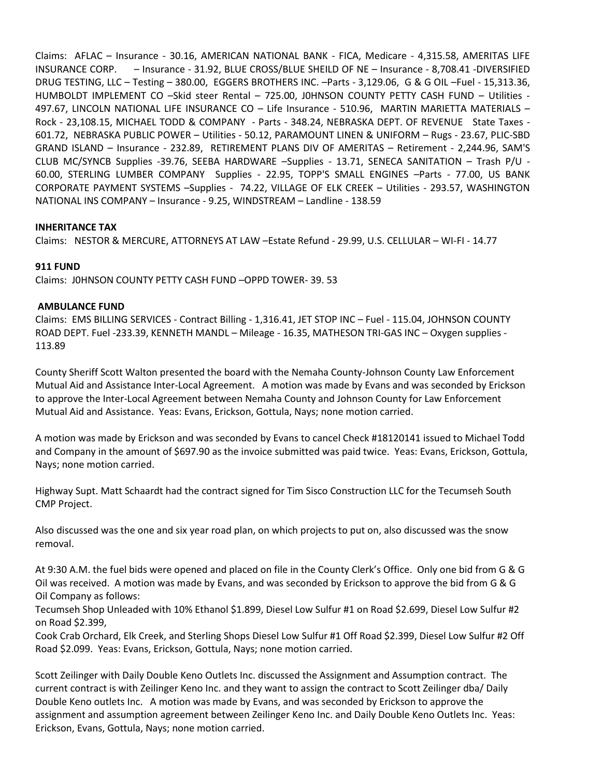Claims: AFLAC – Insurance - 30.16, AMERICAN NATIONAL BANK - FICA, Medicare - 4,315.58, AMERITAS LIFE INSURANCE CORP. – Insurance - 31.92, BLUE CROSS/BLUE SHEILD OF NE – Insurance - 8,708.41 -DIVERSIFIED DRUG TESTING, LLC – Testing – 380.00, EGGERS BROTHERS INC. –Parts - 3,129.06, G & G OIL –Fuel - 15,313.36, HUMBOLDT IMPLEMENT CO –Skid steer Rental – 725.00, J0HNSON COUNTY PETTY CASH FUND – Utilities - 497.67, LINCOLN NATIONAL LIFE INSURANCE CO – Life Insurance - 510.96, MARTIN MARIETTA MATERIALS – Rock - 23,108.15, MICHAEL TODD & COMPANY - Parts - 348.24, NEBRASKA DEPT. OF REVENUE State Taxes - 601.72, NEBRASKA PUBLIC POWER – Utilities - 50.12, PARAMOUNT LINEN & UNIFORM – Rugs - 23.67, PLIC-SBD GRAND ISLAND – Insurance - 232.89, RETIREMENT PLANS DIV OF AMERITAS – Retirement - 2,244.96, SAM'S CLUB MC/SYNCB Supplies -39.76, SEEBA HARDWARE –Supplies - 13.71, SENECA SANITATION – Trash P/U - 60.00, STERLING LUMBER COMPANY Supplies - 22.95, TOPP'S SMALL ENGINES –Parts - 77.00, US BANK CORPORATE PAYMENT SYSTEMS –Supplies - 74.22, VILLAGE OF ELK CREEK – Utilities - 293.57, WASHINGTON NATIONAL INS COMPANY – Insurance - 9.25, WINDSTREAM – Landline - 138.59

## **INHERITANCE TAX**

Claims: NESTOR & MERCURE, ATTORNEYS AT LAW –Estate Refund - 29.99, U.S. CELLULAR – WI-FI - 14.77

## **911 FUND**

Claims: J0HNSON COUNTY PETTY CASH FUND –OPPD TOWER- 39. 53

## **AMBULANCE FUND**

Claims: EMS BILLING SERVICES - Contract Billing - 1,316.41, JET STOP INC – Fuel - 115.04, JOHNSON COUNTY ROAD DEPT. Fuel -233.39, KENNETH MANDL – Mileage - 16.35, MATHESON TRI-GAS INC – Oxygen supplies - 113.89

County Sheriff Scott Walton presented the board with the Nemaha County-Johnson County Law Enforcement Mutual Aid and Assistance Inter-Local Agreement. A motion was made by Evans and was seconded by Erickson to approve the Inter-Local Agreement between Nemaha County and Johnson County for Law Enforcement Mutual Aid and Assistance. Yeas: Evans, Erickson, Gottula, Nays; none motion carried.

A motion was made by Erickson and was seconded by Evans to cancel Check #18120141 issued to Michael Todd and Company in the amount of \$697.90 as the invoice submitted was paid twice. Yeas: Evans, Erickson, Gottula, Nays; none motion carried.

Highway Supt. Matt Schaardt had the contract signed for Tim Sisco Construction LLC for the Tecumseh South CMP Project.

Also discussed was the one and six year road plan, on which projects to put on, also discussed was the snow removal.

At 9:30 A.M. the fuel bids were opened and placed on file in the County Clerk's Office. Only one bid from G & G Oil was received. A motion was made by Evans, and was seconded by Erickson to approve the bid from G & G Oil Company as follows:

Tecumseh Shop Unleaded with 10% Ethanol \$1.899, Diesel Low Sulfur #1 on Road \$2.699, Diesel Low Sulfur #2 on Road \$2.399,

Cook Crab Orchard, Elk Creek, and Sterling Shops Diesel Low Sulfur #1 Off Road \$2.399, Diesel Low Sulfur #2 Off Road \$2.099. Yeas: Evans, Erickson, Gottula, Nays; none motion carried.

Scott Zeilinger with Daily Double Keno Outlets Inc. discussed the Assignment and Assumption contract. The current contract is with Zeilinger Keno Inc. and they want to assign the contract to Scott Zeilinger dba/ Daily Double Keno outlets Inc. A motion was made by Evans, and was seconded by Erickson to approve the assignment and assumption agreement between Zeilinger Keno Inc. and Daily Double Keno Outlets Inc. Yeas: Erickson, Evans, Gottula, Nays; none motion carried.